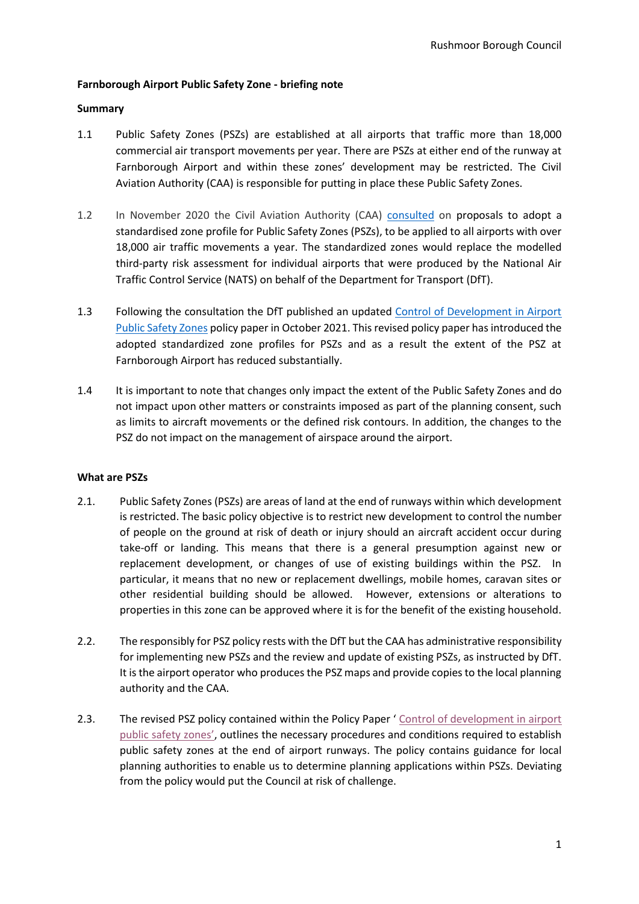## **Farnborough Airport Public Safety Zone - briefing note**

### **Summary**

- 1.1 Public Safety Zones (PSZs) are established at all airports that traffic more than 18,000 commercial air transport movements per year. There are PSZs at either end of the runway at Farnborough Airport and within these zones' development may be restricted. The Civil Aviation Authority (CAA) is responsible for putting in place these Public Safety Zones.
- 1.2 In November 2020 the Civil Aviation Authority (CAA) [consulted](https://consultations.caa.co.uk/aerodrome-standards-department/public-safety-zones/) on proposals to adopt a standardised zone profile for Public Safety Zones (PSZs), to be applied to all airports with over 18,000 air traffic movements a year. The standardized zones would replace the modelled third-party risk assessment for individual airports that were produced by the National Air Traffic Control Service (NATS) on behalf of the Department for Transport (DfT).
- 1.3 Following the consultation the DfT published an updated [Control of Development in Airport](https://www.gov.uk/government/publications/control-of-development-in-airport-public-safety-zones)  [Public Safety Zones](https://www.gov.uk/government/publications/control-of-development-in-airport-public-safety-zones) policy paper in October 2021. This revised policy paper has introduced the adopted standardized zone profiles for PSZs and as a result the extent of the PSZ at Farnborough Airport has reduced substantially.
- 1.4 It is important to note that changes only impact the extent of the Public Safety Zones and do not impact upon other matters or constraints imposed as part of the planning consent, such as limits to aircraft movements or the defined risk contours. In addition, the changes to the PSZ do not impact on the management of airspace around the airport.

#### **What are PSZs**

- 2.1. Public Safety Zones (PSZs) are areas of land at the end of runways within which development is restricted. The basic policy objective is to restrict new development to control the number of people on the ground at risk of death or injury should an aircraft accident occur during take-off or landing. This means that there is a general presumption against new or replacement development, or changes of use of existing buildings within the PSZ. In particular, it means that no new or replacement dwellings, mobile homes, caravan sites or other residential building should be allowed. However, extensions or alterations to properties in this zone can be approved where it is for the benefit of the existing household.
- 2.2. The responsibly for PSZ policy rests with the DfT but the CAA has administrative responsibility for implementing new PSZs and the review and update of existing PSZs, as instructed by DfT. It is the airport operator who produces the PSZ maps and provide copies to the local planning authority and the CAA.
- 2.3. The revised PSZ policy contained within the Policy Paper ' [Control of development in airport](https://www.gov.uk/government/publications/control-of-development-in-airport-public-safety-zones/control-of-development-in-airport-public-safety-zones)  publi[c safety zones'](https://www.gov.uk/government/publications/control-of-development-in-airport-public-safety-zones/control-of-development-in-airport-public-safety-zones), outlines the necessary procedures and conditions required to establish public safety zones at the end of airport runways. The policy contains guidance for local planning authorities to enable us to determine planning applications within PSZs. Deviating from the policy would put the Council at risk of challenge.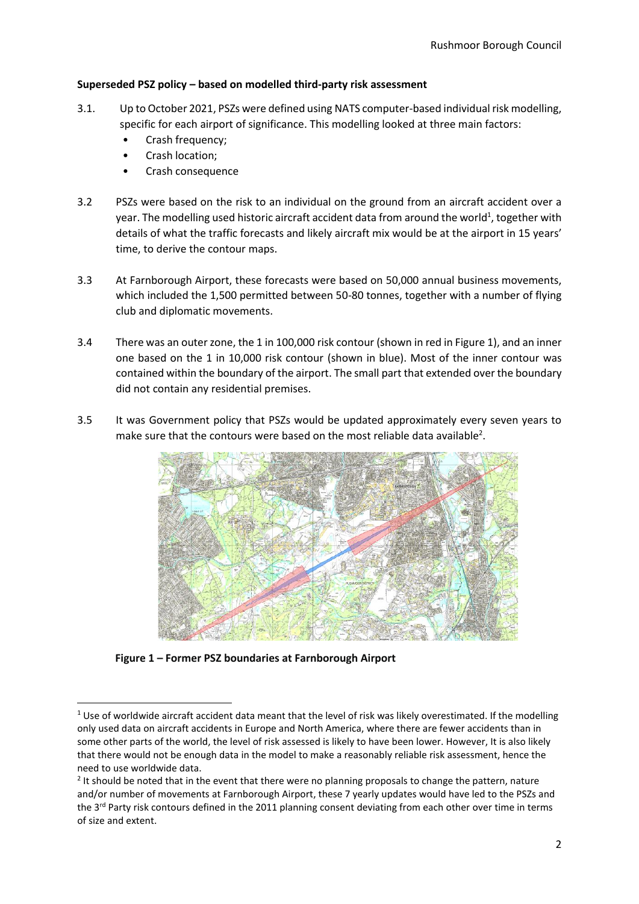### **Superseded PSZ policy – based on modelled third-party risk assessment**

- 3.1. Up to October 2021, PSZs were defined using NATS computer-based individual risk modelling, specific for each airport of significance. This modelling looked at three main factors:
	- Crash frequency;
	- Crash location;
	- Crash consequence
- 3.2 PSZs were based on the risk to an individual on the ground from an aircraft accident over a year. The modelling used historic aircraft accident data from around the world<sup>1</sup>, together with details of what the traffic forecasts and likely aircraft mix would be at the airport in 15 years' time, to derive the contour maps.
- 3.3 At Farnborough Airport, these forecasts were based on 50,000 annual business movements, which included the 1,500 permitted between 50-80 tonnes, together with a number of flying club and diplomatic movements.
- 3.4 There was an outer zone, the 1 in 100,000 risk contour (shown in red in Figure 1), and an inner one based on the 1 in 10,000 risk contour (shown in blue). Most of the inner contour was contained within the boundary of the airport. The small part that extended over the boundary did not contain any residential premises.
- 3.5 It was Government policy that PSZs would be updated approximately every seven years to make sure that the contours were based on the most reliable data available<sup>2</sup>.



**Figure 1 – Former PSZ boundaries at Farnborough Airport**

 $1$  Use of worldwide aircraft accident data meant that the level of risk was likely overestimated. If the modelling only used data on aircraft accidents in Europe and North America, where there are fewer accidents than in some other parts of the world, the level of risk assessed is likely to have been lower. However, It is also likely that there would not be enough data in the model to make a reasonably reliable risk assessment, hence the need to use worldwide data.

 $2$  It should be noted that in the event that there were no planning proposals to change the pattern, nature and/or number of movements at Farnborough Airport, these 7 yearly updates would have led to the PSZs and the 3<sup>rd</sup> Party risk contours defined in the 2011 planning consent deviating from each other over time in terms of size and extent.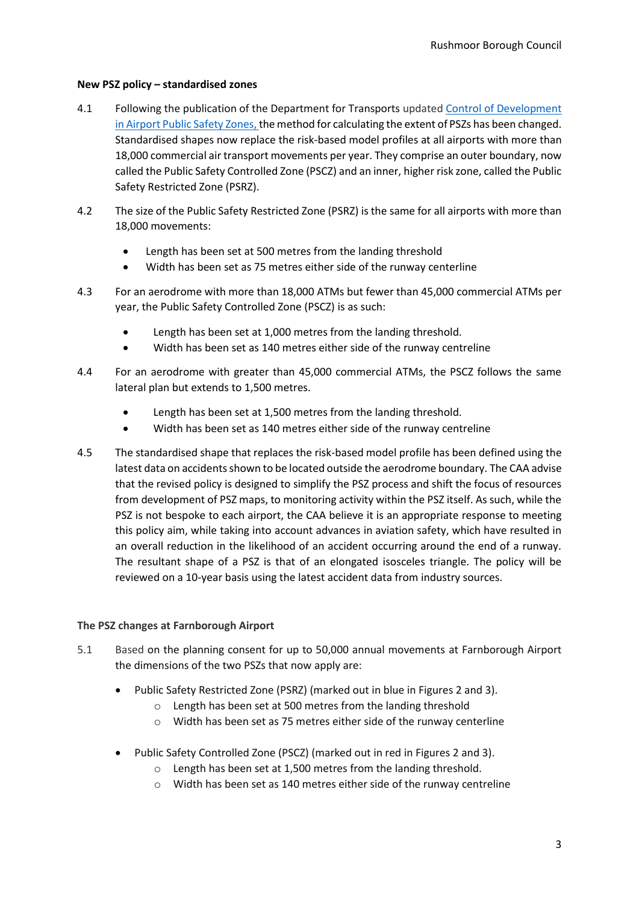### **New PSZ policy – standardised zones**

- 4.1 Following the publication of the Department for Transports updated Control of Development [in Airport Public Safety Zones,](https://www.gov.uk/government/publications/control-of-development-in-airport-public-safety-zones) the method for calculating the extent of PSZs has been changed. Standardised shapes now replace the risk-based model profiles at all airports with more than 18,000 commercial air transport movements per year. They comprise an outer boundary, now called the Public Safety Controlled Zone (PSCZ) and an inner, higher risk zone, called the Public Safety Restricted Zone (PSRZ).
- 4.2 The size of the Public Safety Restricted Zone (PSRZ) is the same for all airports with more than 18,000 movements:
	- Length has been set at 500 metres from the landing threshold
	- Width has been set as 75 metres either side of the runway centerline
- 4.3 For an aerodrome with more than 18,000 ATMs but fewer than 45,000 commercial ATMs per year, the Public Safety Controlled Zone (PSCZ) is as such:
	- Length has been set at 1,000 metres from the landing threshold.
	- Width has been set as 140 metres either side of the runway centreline
- 4.4 For an aerodrome with greater than 45,000 commercial ATMs, the PSCZ follows the same lateral plan but extends to 1,500 metres.
	- Length has been set at 1,500 metres from the landing threshold.
	- Width has been set as 140 metres either side of the runway centreline
- 4.5 The standardised shape that replaces the risk-based model profile has been defined using the latest data on accidents shown to be located outside the aerodrome boundary. The CAA advise that the revised policy is designed to simplify the PSZ process and shift the focus of resources from development of PSZ maps, to monitoring activity within the PSZ itself. As such, while the PSZ is not bespoke to each airport, the CAA believe it is an appropriate response to meeting this policy aim, while taking into account advances in aviation safety, which have resulted in an overall reduction in the likelihood of an accident occurring around the end of a runway. The resultant shape of a PSZ is that of an elongated isosceles triangle. The policy will be reviewed on a 10-year basis using the latest accident data from industry sources.

# **The PSZ changes at Farnborough Airport**

- 5.1 Based on the planning consent for up to 50,000 annual movements at Farnborough Airport the dimensions of the two PSZs that now apply are:
	- Public Safety Restricted Zone (PSRZ) (marked out in blue in Figures 2 and 3).
		- o Length has been set at 500 metres from the landing threshold
		- o Width has been set as 75 metres either side of the runway centerline
	- Public Safety Controlled Zone (PSCZ) (marked out in red in Figures 2 and 3).
		- o Length has been set at 1,500 metres from the landing threshold.
		- o Width has been set as 140 metres either side of the runway centreline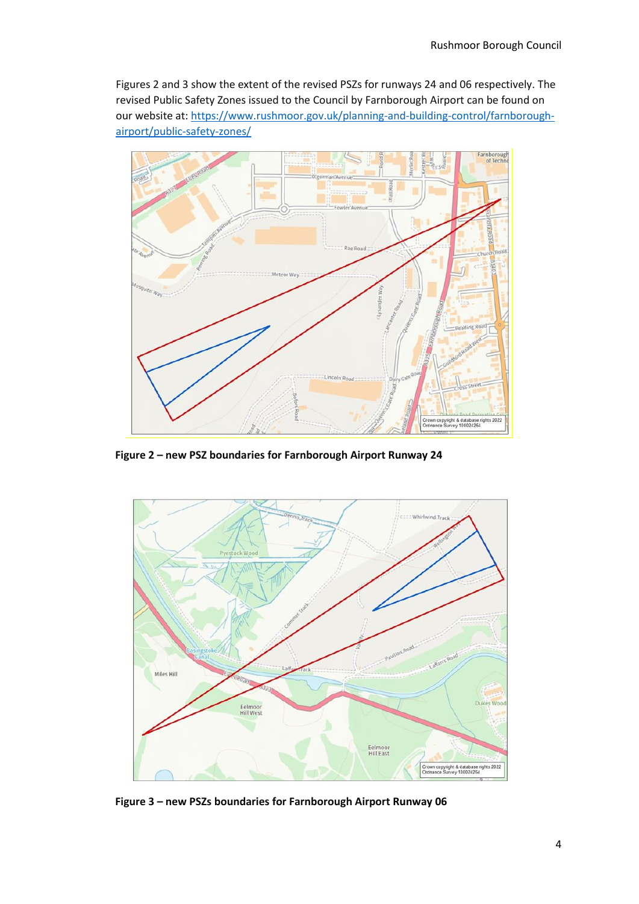Figures 2 and 3 show the extent of the revised PSZs for runways 24 and 06 respectively. The revised Public Safety Zones issued to the Council by Farnborough Airport can be found on our website at: [https://www.rushmoor.gov.uk/planning-and-building-control/farnborough](https://www.rushmoor.gov.uk/planning-and-building-control/farnborough-airport/public-safety-zones/)[airport/public-safety-zones/](https://www.rushmoor.gov.uk/planning-and-building-control/farnborough-airport/public-safety-zones/)



**Figure 2 – new PSZ boundaries for Farnborough Airport Runway 24**



**Figure 3 – new PSZs boundaries for Farnborough Airport Runway 06**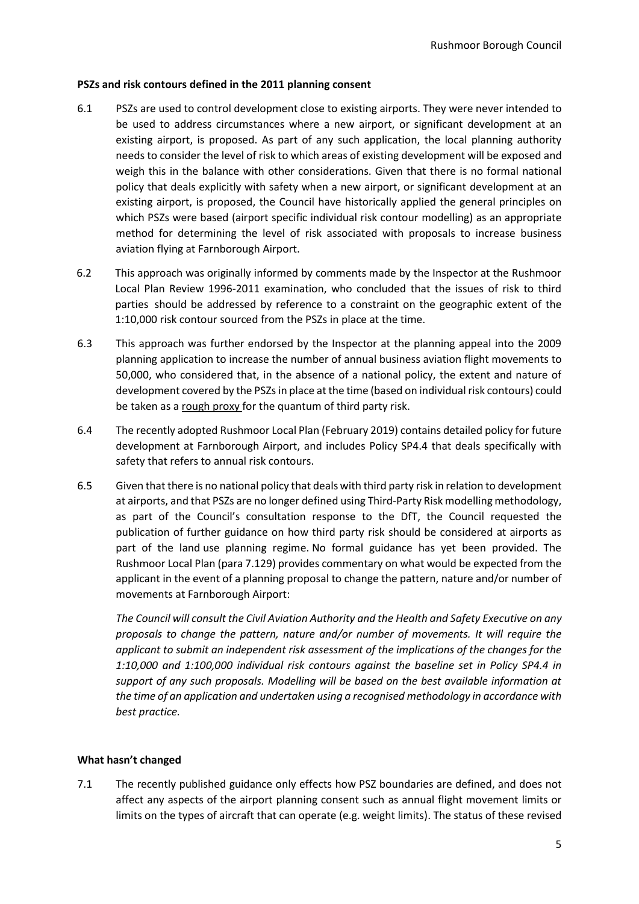#### **PSZs and risk contours defined in the 2011 planning consent**

- 6.1 PSZs are used to control development close to existing airports. They were never intended to be used to address circumstances where a new airport, or significant development at an existing airport, is proposed. As part of any such application, the local planning authority needs to consider the level of risk to which areas of existing development will be exposed and weigh this in the balance with other considerations. Given that there is no formal national policy that deals explicitly with safety when a new airport, or significant development at an existing airport, is proposed, the Council have historically applied the general principles on which PSZs were based (airport specific individual risk contour modelling) as an appropriate method for determining the level of risk associated with proposals to increase business aviation flying at Farnborough Airport.
- 6.2 This approach was originally informed by comments made by the Inspector at the Rushmoor Local Plan Review 1996-2011 examination, who concluded that the issues of risk to third parties should be addressed by reference to a constraint on the geographic extent of the 1:10,000 risk contour sourced from the PSZs in place at the time.
- 6.3 This approach was further endorsed by the Inspector at the planning appeal into the 2009 planning application to increase the number of annual business aviation flight movements to 50,000, who considered that, in the absence of a national policy, the extent and nature of development covered by the PSZs in place at the time (based on individual risk contours) could be taken as a rough proxy for the quantum of third party risk.
- 6.4 The recently adopted Rushmoor Local Plan (February 2019) contains detailed policy for future development at Farnborough Airport, and includes Policy SP4.4 that deals specifically with safety that refers to annual risk contours.
- 6.5 Given that there is no national policy that deals with third party risk in relation to development at airports, and that PSZs are no longer defined using Third-Party Risk modelling methodology, as part of the Council's consultation response to the DfT, the Council requested the publication of further guidance on how third party risk should be considered at airports as part of the land use planning regime. No formal guidance has yet been provided. The Rushmoor Local Plan (para 7.129) provides commentary on what would be expected from the applicant in the event of a planning proposal to change the pattern, nature and/or number of movements at Farnborough Airport:

*The Council will consult the Civil Aviation Authority and the Health and Safety Executive on any proposals to change the pattern, nature and/or number of movements. It will require the applicant to submit an independent risk assessment of the implications of the changes for the 1:10,000 and 1:100,000 individual risk contours against the baseline set in Policy SP4.4 in support of any such proposals. Modelling will be based on the best available information at the time of an application and undertaken using a recognised methodology in accordance with best practice.*

# **What hasn't changed**

7.1 The recently published guidance only effects how PSZ boundaries are defined, and does not affect any aspects of the airport planning consent such as annual flight movement limits or limits on the types of aircraft that can operate (e.g. weight limits). The status of these revised